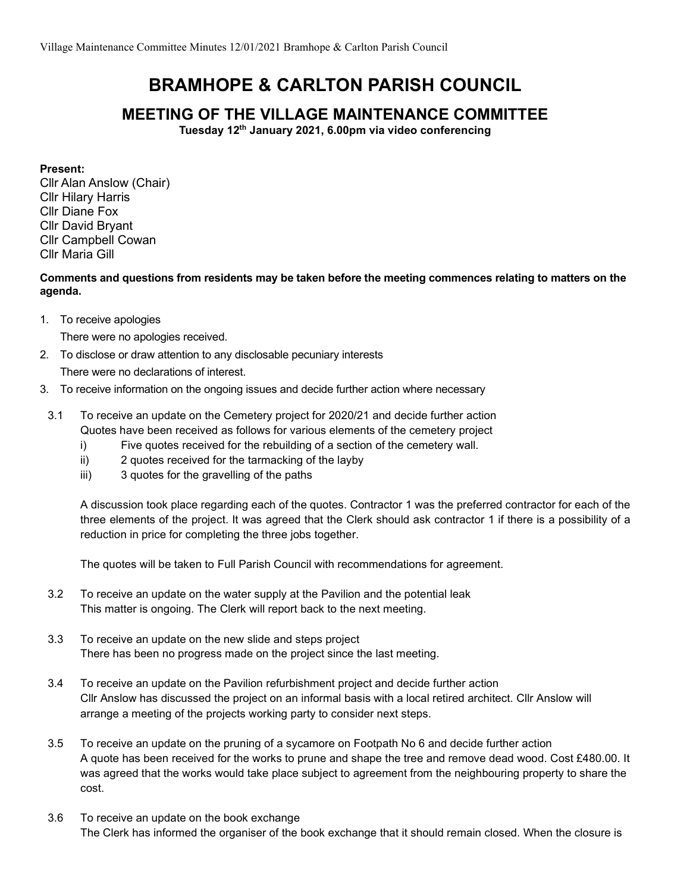## BRAMHOPE & CARLTON PARISH COUNCIL

## MEETING OF THE VILLAGE MAINTENANCE COMMITTEE

Tuesday 12<sup>th</sup> January 2021, 6.00pm via video conferencing

Present:

Cllr Alan Anslow (Chair) Cllr Hilary Harris Cllr Diane Fox Cllr David Bryant Cllr Campbell Cowan Cllr Maria Gill

Comments and questions from residents may be taken before the meeting commences relating to matters on the agenda.

1. To receive apologies

There were no apologies received.

- 2. To disclose or draw attention to any disclosable pecuniary interests There were no declarations of interest.
- 3. To receive information on the ongoing issues and decide further action where necessary
- 3.1 To receive an update on the Cemetery project for 2020/21 and decide further action Quotes have been received as follows for various elements of the cemetery project
	- i) Five quotes received for the rebuilding of a section of the cemetery wall.
	- ii) 2 quotes received for the tarmacking of the layby
	- iii) 3 quotes for the gravelling of the paths

A discussion took place regarding each of the quotes. Contractor 1 was the preferred contractor for each of the three elements of the project. It was agreed that the Clerk should ask contractor 1 if there is a possibility of a reduction in price for completing the three jobs together.

The quotes will be taken to Full Parish Council with recommendations for agreement.

- 3.2 To receive an update on the water supply at the Pavilion and the potential leak This matter is ongoing. The Clerk will report back to the next meeting.
- 3.3 To receive an update on the new slide and steps project There has been no progress made on the project since the last meeting.
- 3.4 To receive an update on the Pavilion refurbishment project and decide further action Cllr Anslow has discussed the project on an informal basis with a local retired architect. Cllr Anslow will arrange a meeting of the projects working party to consider next steps.
- 3.5 To receive an update on the pruning of a sycamore on Footpath No 6 and decide further action A quote has been received for the works to prune and shape the tree and remove dead wood. Cost £480.00. It was agreed that the works would take place subject to agreement from the neighbouring property to share the cost.
- 3.6 To receive an update on the book exchange The Clerk has informed the organiser of the book exchange that it should remain closed. When the closure is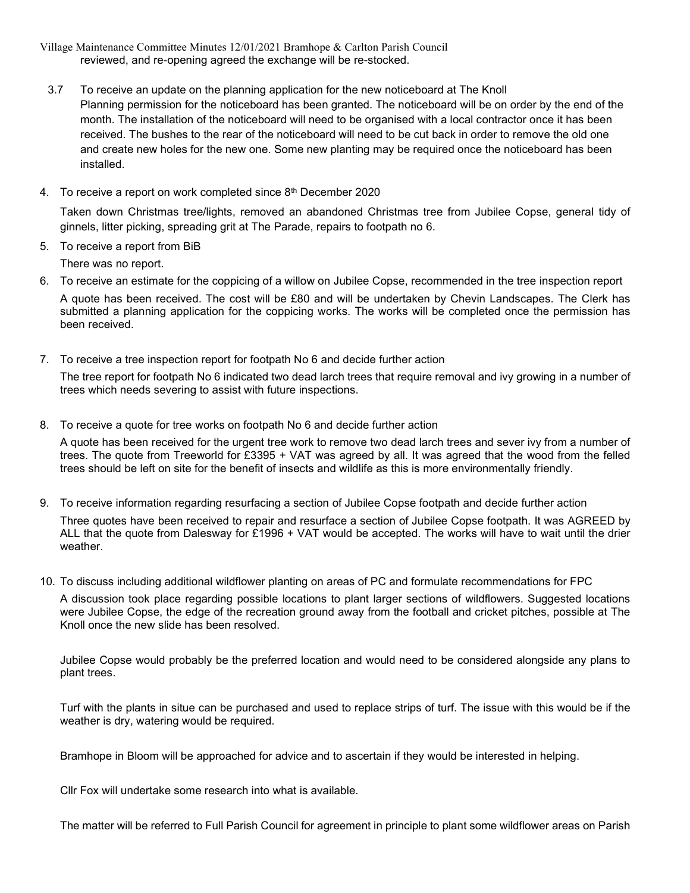- Village Maintenance Committee Minutes 12/01/2021 Bramhope & Carlton Parish Council reviewed, and re-opening agreed the exchange will be re-stocked.
- 3.7 To receive an update on the planning application for the new noticeboard at The Knoll Planning permission for the noticeboard has been granted. The noticeboard will be on order by the end of the month. The installation of the noticeboard will need to be organised with a local contractor once it has been received. The bushes to the rear of the noticeboard will need to be cut back in order to remove the old one and create new holes for the new one. Some new planting may be required once the noticeboard has been installed.
- 4. To receive a report on work completed since 8<sup>th</sup> December 2020

Taken down Christmas tree/lights, removed an abandoned Christmas tree from Jubilee Copse, general tidy of ginnels, litter picking, spreading grit at The Parade, repairs to footpath no 6.

5. To receive a report from BiB

There was no report.

6. To receive an estimate for the coppicing of a willow on Jubilee Copse, recommended in the tree inspection report A quote has been received. The cost will be £80 and will be undertaken by Chevin Landscapes. The Clerk has submitted a planning application for the coppicing works. The works will be completed once the permission has been received.

- 7. To receive a tree inspection report for footpath No 6 and decide further action The tree report for footpath No 6 indicated two dead larch trees that require removal and ivy growing in a number of trees which needs severing to assist with future inspections.
- 8. To receive a quote for tree works on footpath No 6 and decide further action

A quote has been received for the urgent tree work to remove two dead larch trees and sever ivy from a number of trees. The quote from Treeworld for £3395 + VAT was agreed by all. It was agreed that the wood from the felled trees should be left on site for the benefit of insects and wildlife as this is more environmentally friendly.

- 9. To receive information regarding resurfacing a section of Jubilee Copse footpath and decide further action Three quotes have been received to repair and resurface a section of Jubilee Copse footpath. It was AGREED by ALL that the quote from Dalesway for £1996 + VAT would be accepted. The works will have to wait until the drier weather.
- 10. To discuss including additional wildflower planting on areas of PC and formulate recommendations for FPC

A discussion took place regarding possible locations to plant larger sections of wildflowers. Suggested locations were Jubilee Copse, the edge of the recreation ground away from the football and cricket pitches, possible at The Knoll once the new slide has been resolved.

Jubilee Copse would probably be the preferred location and would need to be considered alongside any plans to plant trees.

Turf with the plants in situe can be purchased and used to replace strips of turf. The issue with this would be if the weather is dry, watering would be required.

Bramhope in Bloom will be approached for advice and to ascertain if they would be interested in helping.

Cllr Fox will undertake some research into what is available.

The matter will be referred to Full Parish Council for agreement in principle to plant some wildflower areas on Parish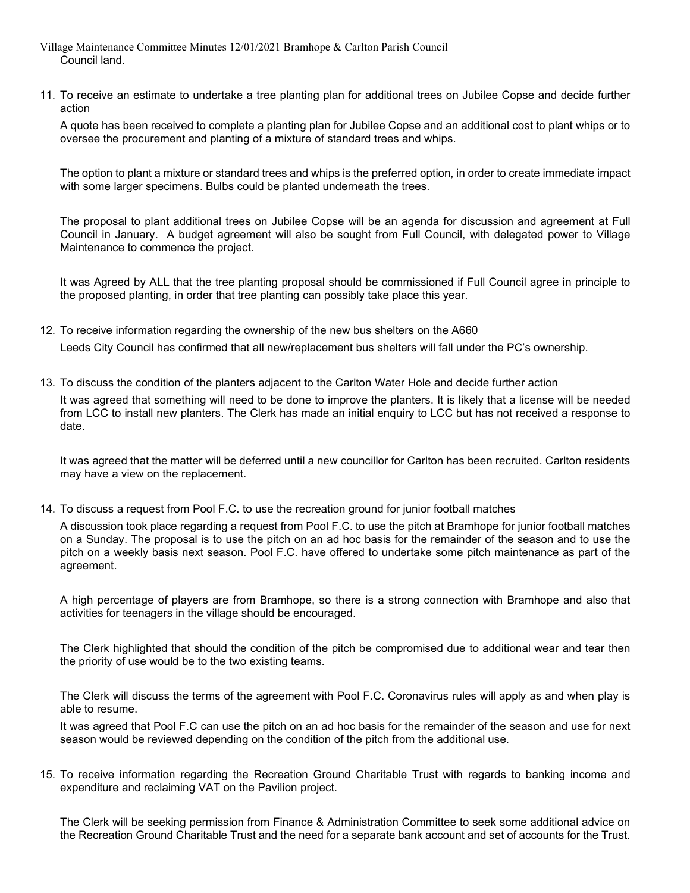- Village Maintenance Committee Minutes 12/01/2021 Bramhope & Carlton Parish Council Council land.
- 11. To receive an estimate to undertake a tree planting plan for additional trees on Jubilee Copse and decide further action

A quote has been received to complete a planting plan for Jubilee Copse and an additional cost to plant whips or to oversee the procurement and planting of a mixture of standard trees and whips.

The option to plant a mixture or standard trees and whips is the preferred option, in order to create immediate impact with some larger specimens. Bulbs could be planted underneath the trees.

The proposal to plant additional trees on Jubilee Copse will be an agenda for discussion and agreement at Full Council in January. A budget agreement will also be sought from Full Council, with delegated power to Village Maintenance to commence the project.

It was Agreed by ALL that the tree planting proposal should be commissioned if Full Council agree in principle to the proposed planting, in order that tree planting can possibly take place this year.

- 12. To receive information regarding the ownership of the new bus shelters on the A660 Leeds City Council has confirmed that all new/replacement bus shelters will fall under the PC's ownership.
- 13. To discuss the condition of the planters adjacent to the Carlton Water Hole and decide further action

It was agreed that something will need to be done to improve the planters. It is likely that a license will be needed from LCC to install new planters. The Clerk has made an initial enquiry to LCC but has not received a response to date.

It was agreed that the matter will be deferred until a new councillor for Carlton has been recruited. Carlton residents may have a view on the replacement.

14. To discuss a request from Pool F.C. to use the recreation ground for junior football matches

A discussion took place regarding a request from Pool F.C. to use the pitch at Bramhope for junior football matches on a Sunday. The proposal is to use the pitch on an ad hoc basis for the remainder of the season and to use the pitch on a weekly basis next season. Pool F.C. have offered to undertake some pitch maintenance as part of the agreement.

A high percentage of players are from Bramhope, so there is a strong connection with Bramhope and also that activities for teenagers in the village should be encouraged.

The Clerk highlighted that should the condition of the pitch be compromised due to additional wear and tear then the priority of use would be to the two existing teams.

The Clerk will discuss the terms of the agreement with Pool F.C. Coronavirus rules will apply as and when play is able to resume.

It was agreed that Pool F.C can use the pitch on an ad hoc basis for the remainder of the season and use for next season would be reviewed depending on the condition of the pitch from the additional use.

15. To receive information regarding the Recreation Ground Charitable Trust with regards to banking income and expenditure and reclaiming VAT on the Pavilion project.

The Clerk will be seeking permission from Finance & Administration Committee to seek some additional advice on the Recreation Ground Charitable Trust and the need for a separate bank account and set of accounts for the Trust.